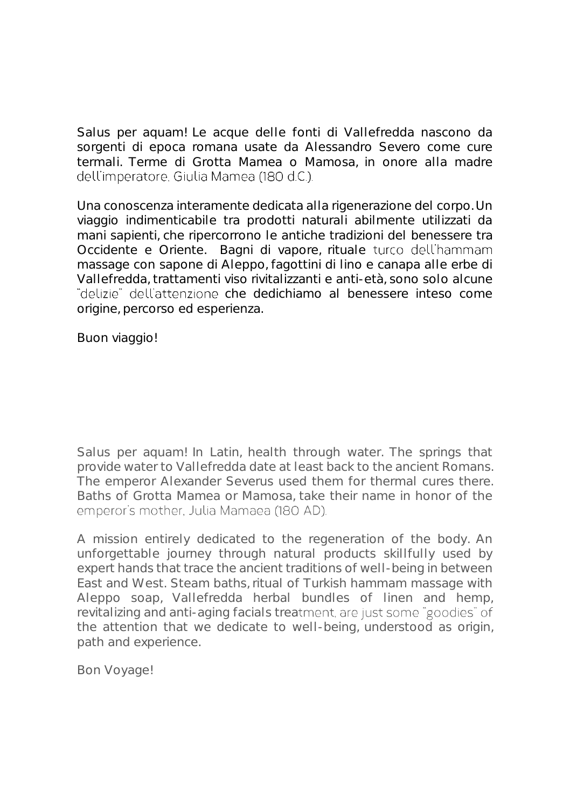Salus per aquam! Le acque delle fonti di Vallefredda nascono da sorgenti di epoca romana usate da Alessandro Severo come cure termali. Terme di Grotta Mamea o Mamosa, in onore alla madre dell'imperatore. Giulia Mamea (180 d.C.).

Una conoscenza interamente dedicata alla rigenerazione del corpo. Un viaggio indimenticabile tra prodotti naturali abilmente utilizzati da mani sapienti, che ripercorrono le antiche tradizioni del benessere tra Occidente e Oriente. Bagni di vapore, rituale turco dell'hammam massage con sapone di Aleppo, fagottini di lino e canapa alle erbe di Vallefredda, trattamenti viso rivitalizzanti e anti-età, sono solo alcune "delizie" dell'attenzione che dedichiamo al benessere inteso come origine, percorso ed esperienza.

Buon viaggio!

Salus per aquam! In Latin, health through water. The springs that provide water to Vallefredda date at least back to the ancient Romans. The emperor Alexander Severus used them for thermal cures there. Baths of Grotta Mamea or Mamosa, take their name in honor of the emperor's mother, Julia Mamaea (180 AD).

A mission entirely dedicated to the regeneration of the body. An unforgettable journey through natural products skillfully used by expert hands that trace the ancient traditions of well-being in between East and West. Steam baths, ritual of Turkish hammam massage with Aleppo soap, Vallefredda herbal bundles of linen and hemp, revitalizing and anti-aging facials treatment, are just some "goodies" of the attention that we dedicate to well-being, understood as origin, path and experience.

Bon Voyage!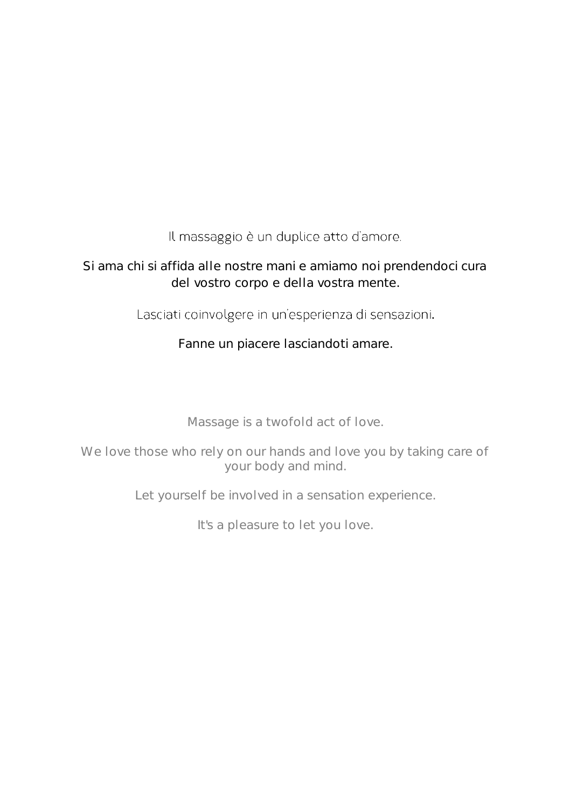Il massaggio è un duplice atto d'amore.

### Si ama chi si affida alle nostre mani e amiamo noi prendendoci cura del vostro corpo e della vostra mente.

Lasciati coinvolgere in un'esperienza di sensazioni. .

Fanne un piacere lasciandoti amare.

Massage is a twofold act of love.

We love those who rely on our hands and love you by taking care of your body and mind.

Let yourself be involved in a sensation experience.

It's a pleasure to let you love.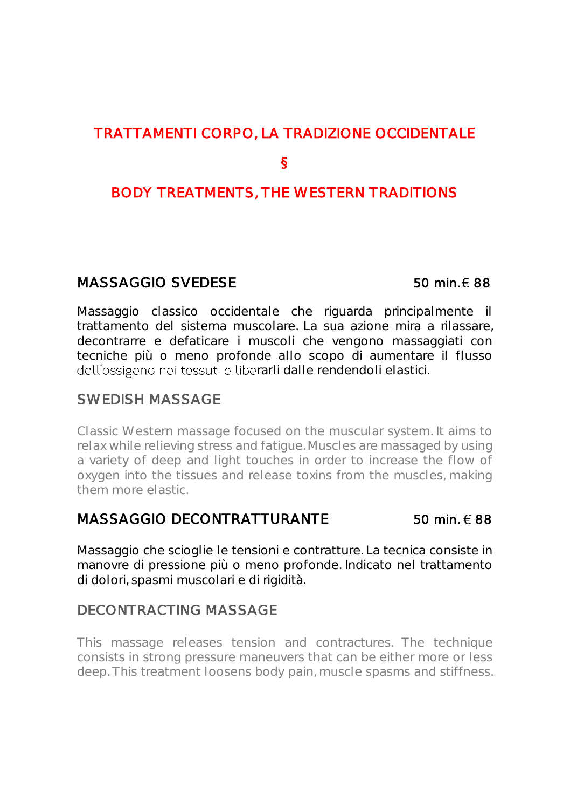## TRATTAMENTI CORPO, LA TRADIZIONE OCCIDENTALE

### §

### BODY TREATMENTS, THE WESTERN TRADITIONS

### $MASSAGGIO$  SVEDESE 50 min.  $\in$  88

Massaggio classico occidentale che riguarda principalmente il trattamento del sistema muscolare. La sua azione mira a rilassare, decontrarre e defaticare i muscoli che vengono massaggiati con tecniche più o meno profonde allo scopo di aumentare il flusso dell'ossigeno nei tessuti e liberarli dalle rendendoli elastici.

### SWEDISH MASSAGE

Classic Western massage focused on the muscular system. It aims to relax while relieving stress and fatigue. Muscles are massaged by using a variety of deep and light touches in order to increase the flow of oxygen into the tissues and release toxins from the muscles, making them more elastic.

### MASSAGGIO DECONTRATTURANTE 50 min.  $\epsilon$  88

Massaggio che scioglie le tensioni e contratture. La tecnica consiste in manovre di pressione più o meno profonde. Indicato nel trattamento di dolori, spasmi muscolari e di rigidità.

### DECONTRACTING MASSAGE

This massage releases tension and contractures. The technique consists in strong pressure maneuvers that can be either more or less deep. This treatment loosens body pain, muscle spasms and stiffness.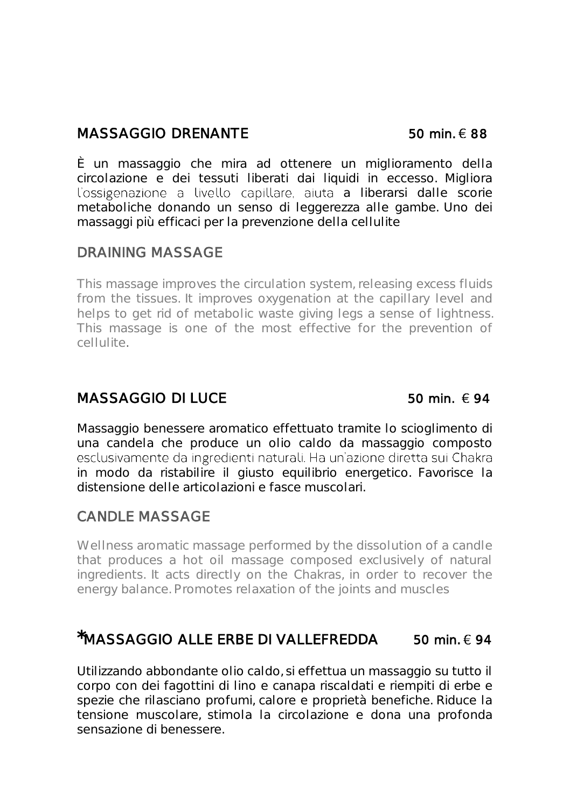### $MASSAGGIO$  DRENANTE 50 min.  $\in$  88

È un massaggio che mira ad ottenere un miglioramento della circolazione e dei tessuti liberati dai liquidi in eccesso. Migliora l'ossigenazione a livello capillare, aiuta a liberarsi dalle scorie metaboliche donando un senso di leggerezza alle gambe. Uno dei massaggi più efficaci per la prevenzione della cellulite

### DRAINING MASSAGE

This massage improves the circulation system, releasing excess fluids from the tissues. It improves oxygenation at the capillary level and helps to get rid of metabolic waste giving legs a sense of lightness. This massage is one of the most effective for the prevention of cellulite.

### $MASSAGGIO$  DI LUCE 50 min.  $6.94$

Massaggio benessere aromatico effettuato tramite lo scioglimento di una candela che produce un olio caldo da massaggio composto in modo da ristabilire il giusto equilibrio energetico. Favorisce la distensione delle articolazioni e fasce muscolari.

### CANDLE MASSAGE

Wellness aromatic massage performed by the dissolution of a candle that produces a hot oil massage composed exclusively of natural ingredients. It acts directly on the Chakras, in order to recover the energy balance. Promotes relaxation of the joints and muscles

## $*$ MASSAGGIO ALLE ERBE DI VALLEFREDDA 50 min.  $\epsilon$  94

Utilizzando abbondante olio caldo, si effettua un massaggio su tutto il corpo con dei fagottini di lino e canapa riscaldati e riempiti di erbe e spezie che rilasciano profumi, calore e proprietà benefiche. Riduce la tensione muscolare, stimola la circolazione e dona una profonda sensazione di benessere.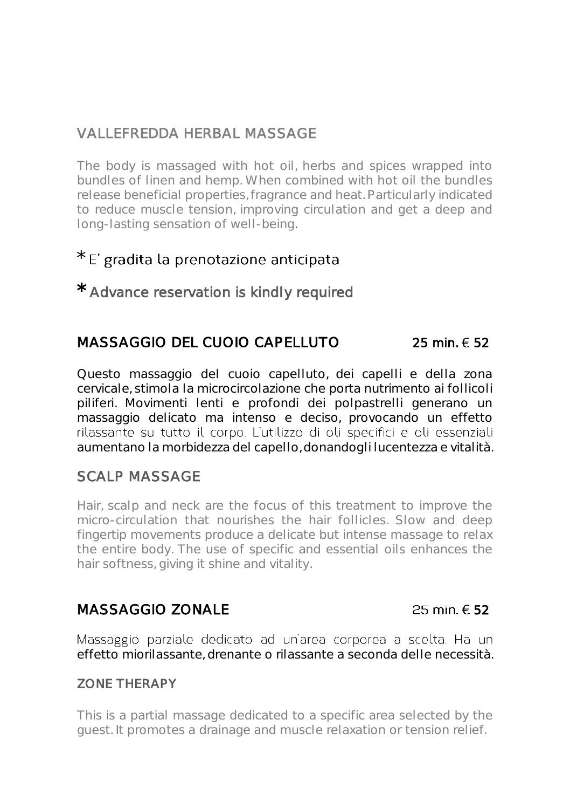### VALLEFREDDA HERBAL MASSAGE

The body is massaged with hot oil, herbs and spices wrapped into bundles of linen and hemp. When combined with hot oil the bundles release beneficial properties, fragrance and heat. Particularly indicated to reduce muscle tension, improving circulation and get a deep and long-lasting sensation of well-being.

### \* E' gradita la prenotazione anticipata

\* Advance reservation is kindly required

### MASSAGGIO DEL CUOIO CAPELLUTO  $25 \text{ min} \in 52$

Questo massaggio del cuoio capelluto, dei capelli e della zona cervicale, stimola la microcircolazione che porta nutrimento ai follicoli piliferi. Movimenti lenti e profondi dei polpastrelli generano un massaggio delicato ma intenso e deciso, provocando un effetto rilassante su tutto il corpo. L'utilizzo di oli specifici e oli essenziali aumentano la morbidezza del capello, donandogli lucentezza e vitalità.

### SCALP MASSAGE

Hair, scalp and neck are the focus of this treatment to improve the micro-circulation that nourishes the hair follicles. Slow and deep fingertip movements produce a delicate but intense massage to relax the entire body. The use of specific and essential oils enhances the hair softness, giving it shine and vitality.

### $MASSAGGIO$  ZONALE  $25$  min.  $652$

Massaggio parziale dedicato ad un'area corporea a scelta. Ha un effetto miorilassante, drenante o rilassante a seconda delle necessità.

### ZONE THERAPY

This is a partial massage dedicated to a specific area selected by the guest. It promotes a drainage and muscle relaxation or tension relief.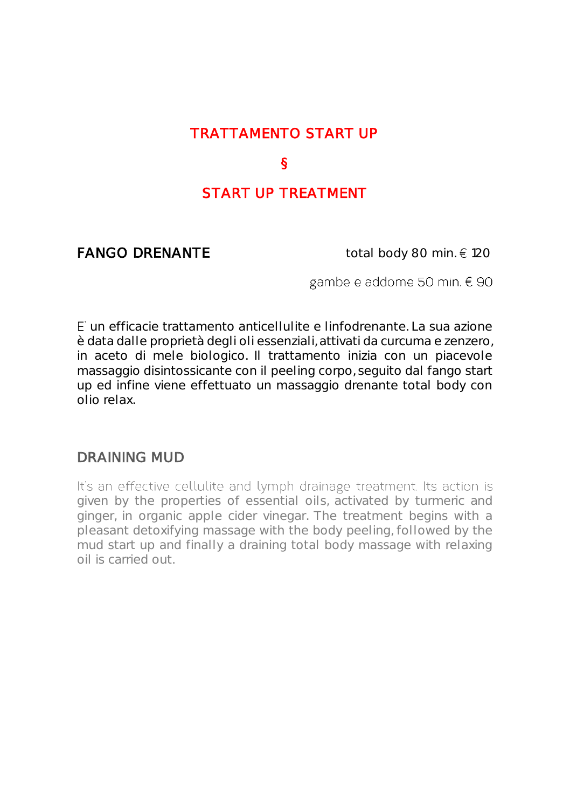### TRATTAMENTO START UP

### §

# START UP TREATMENT

**FANGO DRENANTE** total body 80 min.  $\in$  120

gambe e addome 50 min. € 90

un efficacie trattamento anticellulite e linfodrenante. La sua azione è data dalle proprietà degli oli essenziali, attivati da curcuma e zenzero, in aceto di mele biologico. Il trattamento inizia con un piacevole massaggio disintossicante con il peeling corpo, seguito dal fango start up ed infine viene effettuato un massaggio drenante total body con olio relax.

### DRAINING MUD

It's an effective cellulite and lymph drainage treatment. Its action is given by the properties of essential oils, activated by turmeric and ginger, in organic apple cider vinegar. The treatment begins with a pleasant detoxifying massage with the body peeling, followed by the mud start up and finally a draining total body massage with relaxing oil is carried out.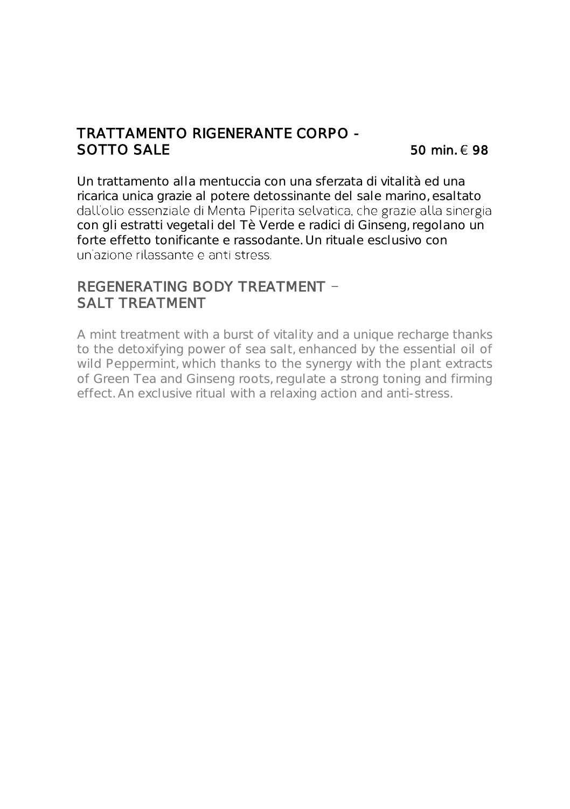### TRATTAMENTO RIGENERANTE CORPO - SOTTO SALE  $50 \text{ min} \in 98$

Un trattamento alla mentuccia con una sferzata di vitalità ed una ricarica unica grazie al potere detossinante del sale marino, esaltato con gli estratti vegetali del Tè Verde e radici di Ginseng, regolano un forte effetto tonificante e rassodante. Un rituale esclusivo con

### REGENERATING BODY TREATMENT SALT TREATMENT

A mint treatment with a burst of vitality and a unique recharge thanks to the detoxifying power of sea salt, enhanced by the essential oil of wild Peppermint, which thanks to the synergy with the plant extracts of Green Tea and Ginseng roots, regulate a strong toning and firming effect. An exclusive ritual with a relaxing action and anti-stress.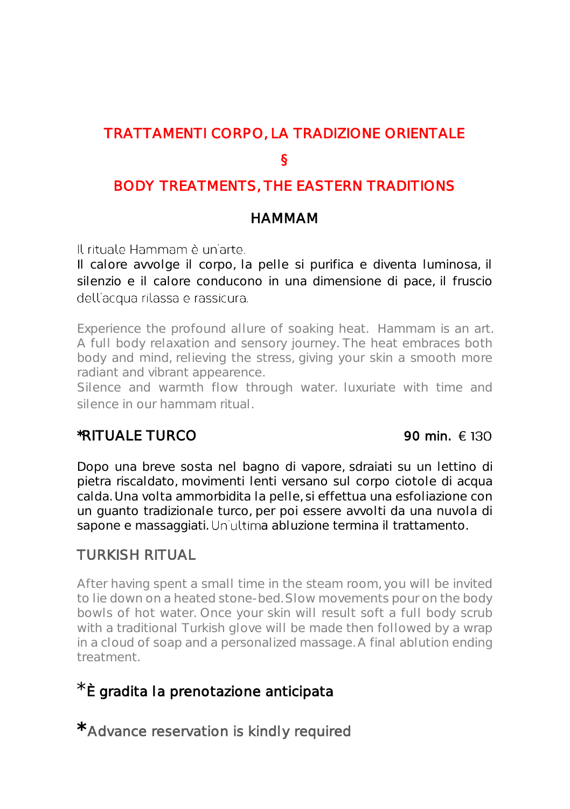# TRATTAMENTI CORPO, LA TRADIZIONE ORIENTALE

### §

# BODY TREATMENTS, THE EASTERN TRADITIONS

### HAMMAM

Il rituale Hammam è un'arte.

Il calore avvolge il corpo, la pelle si purifica e diventa luminosa, il silenzio e il calore conducono in una dimensione di pace, il fruscio dell'acqua rilassa e rassicura.

Experience the profound allure of soaking heat. Hammam is an art. A full body relaxation and sensory journey. The heat embraces both body and mind, relieving the stress, giving your skin a smooth more radiant and vibrant appearence.

Silence and warmth flow through water. luxuriate with time and silence in our hammam ritual.

## \*RITUALE TURCO  $90 \text{ min. } \in 130$

Dopo una breve sosta nel bagno di vapore, sdraiati su un lettino di pietra riscaldato, movimenti lenti versano sul corpo ciotole di acqua calda. Una volta ammorbidita la pelle, si effettua una esfoliazione con un guanto tradizionale turco, per poi essere avvolti da una nuvola di sapone e massaggiati. Un'ultima abluzione termina il trattamento.

## TURKISH RITUAL

After having spent a small time in the steam room, you will be invited to lie down on a heated stone-bed. Slow movements pour on the body bowls of hot water. Once your skin will result soft a full body scrub with a traditional Turkish glove will be made then followed by a wrap in a cloud of soap and a personalized massage. A final ablution ending treatment.

# \* È gradita la prenotazione anticipata

\* Advance reservation is kindly required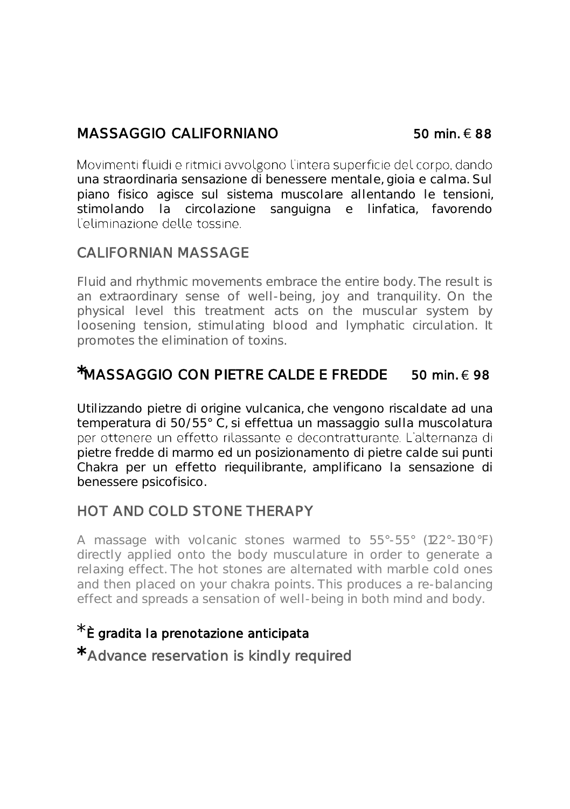# $MASSAGGIO$  CALIFORNIANO 50 min.  $\in$  88

Movimenti fluidi e ritmici avvolgono l'intera superficie del corpo, dando una straordinaria sensazione di benessere mentale, gioia e calma. Sul piano fisico agisce sul sistema muscolare allentando le tensioni, stimolando la circolazione sanguigna e linfatica, favorendo<br>L'eliminazione-delle-tossine

### CALIFORNIAN MASSAGE

Fluid and rhythmic movements embrace the entire body. The result is an extraordinary sense of well-being, joy and tranquility. On the physical level this treatment acts on the muscular system by loosening tension, stimulating blood and lymphatic circulation. It promotes the elimination of toxins.

# $*$ MASSAGGIO CON PIETRE CALDE E FREDDE 50 min.  $\in$  98

Utilizzando pietre di origine vulcanica, che vengono riscaldate ad una temperatura di 50/55° C, si effettua un massaggio sulla muscolatura per ottenere un effetto rilassante e decontratturante. L'alternanza di pietre fredde di marmo ed un posizionamento di pietre calde sui punti Chakra per un effetto riequilibrante, amplificano la sensazione di benessere psicofisico.

# HOT AND COLD STONE THERAPY

A massage with volcanic stones warmed to 55°-55° (122°-130°F) directly applied onto the body musculature in order to generate a relaxing effect. The hot stones are alternated with marble cold ones and then placed on your chakra points. This produces a re-balancing effect and spreads a sensation of well-being in both mind and body.

## È gradita la prenotazione anticipata

\* Advance reservation is kindly required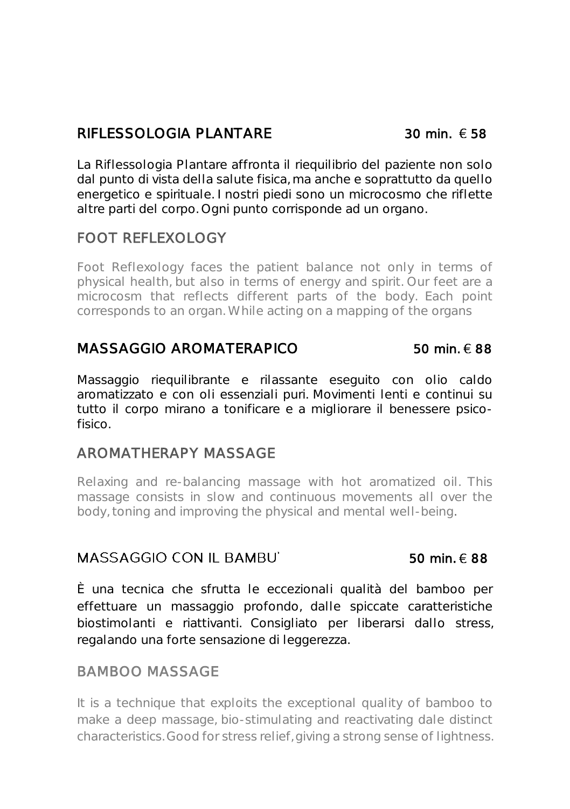### RIFLESSOLOGIA PLANTARE  $30 \text{ min.} \in 58$

La Riflessologia Plantare affronta il riequilibrio del paziente non solo dal punto di vista della salute fisica, ma anche e soprattutto da quello energetico e spirituale. I nostri piedi sono un microcosmo che riflette altre parti del corpo. Ogni punto corrisponde ad un organo.

### FOOT REFLEXOLOGY

Foot Reflexology faces the patient balance not only in terms of physical health, but also in terms of energy and spirit. Our feet are a microcosm that reflects different parts of the body. Each point corresponds to an organ. While acting on a mapping of the organs

### $MASSAGGIO$  AROMATERAPICO 50 min.  $\in$  88

Massaggio riequilibrante e rilassante eseguito con olio caldo aromatizzato e con oli essenziali puri. Movimenti lenti e continui su tutto il corpo mirano a tonificare e a migliorare il benessere psicofisico.

### AROMATHERAPY MASSAGE

Relaxing and re-balancing massage with hot aromatized oil. This massage consists in slow and continuous movements all over the body, toning and improving the physical and mental well-being.

### $MASSAGGIO$  CON II BAMBU  $50$  min.  $688$

È una tecnica che sfrutta le eccezionali qualità del bamboo per effettuare un massaggio profondo, dalle spiccate caratteristiche biostimolanti e riattivanti. Consigliato per liberarsi dallo stress, regalando una forte sensazione di leggerezza.

### BAMBOO MASSAGE

It is a technique that exploits the exceptional quality of bamboo to make a deep massage, bio-stimulating and reactivating dale distinct characteristics. Good for stress relief, giving a strong sense of lightness.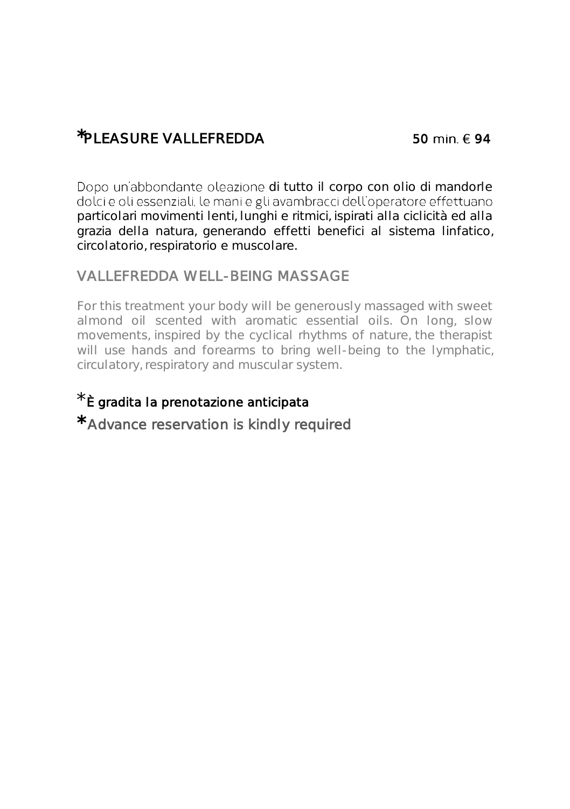# $*$ PI FASURF VALLEFREDDA 50 min.  $\epsilon$  94

Dopo un'abbondante oleazione di tutto il corpo con olio di mandorle dolci e oli essenziali, le mani e gli avambracci dell'operatore effettuano particolari movimenti lenti, lunghi e ritmici, ispirati alla ciclicità ed alla grazia della natura, generando effetti benefici al sistema linfatico, circolatorio, respiratorio e muscolare.

### VALLEFREDDA WELL-BEING MASSAGE

For this treatment your body will be generously massaged with sweet almond oil scented with aromatic essential oils. On long, slow movements, inspired by the cyclical rhythms of nature, the therapist will use hands and forearms to bring well-being to the lymphatic, circulatory, respiratory and muscular system.

# \* È gradita la prenotazione anticipata

\* Advance reservation is kindly required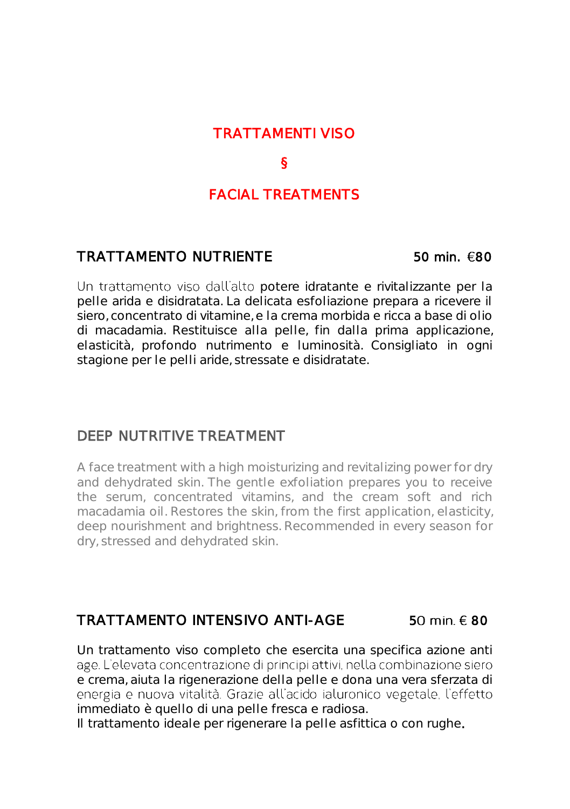### TRATTAMENTI VISO

### §

### FACIAL TREATMENTS

### TRATTAMENTO NUTRIENTE 50 min. 80

Un trattamento viso dall'alto potere idratante e rivitalizzante per la pelle arida e disidratata. La delicata esfoliazione prepara a ricevere il siero, concentrato di vitamine, e la crema morbida e ricca a base di olio di macadamia. Restituisce alla pelle, fin dalla prima applicazione, elasticità, profondo nutrimento e luminosità. Consigliato in ogni stagione per le pelli aride, stressate e disidratate.

### DEEP NUTRITIVE TREATMENT

A face treatment with a high moisturizing and revitalizing power for dry and dehydrated skin. The gentle exfoliation prepares you to receive the serum, concentrated vitamins, and the cream soft and rich macadamia oil. Restores the skin, from the first application, elasticity, deep nourishment and brightness. Recommended in every season for dry, stressed and dehydrated skin.

### TRATTAMENTO INTENSIVO ANTI-AGE 50 min.  $\epsilon$  80

Un trattamento viso completo che esercita una specifica azione anti age. L'elevata concentrazione di principi attivi, nella combinazione siero e crema, aiuta la rigenerazione della pelle e dona una vera sferzata di energia e nuova vitalità. Grazie all'acido ialuronico vegetale. l'effetto immediato è quello di una pelle fresca e radiosa.

Il trattamento ideale per rigenerare la pelle asfittica o con rughe.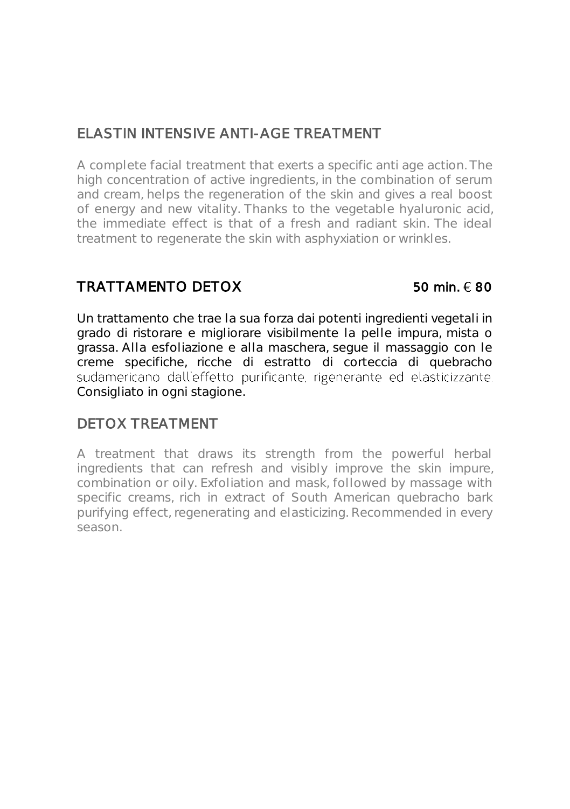# ELASTIN INTENSIVE ANTI-AGE TREATMENT

A complete facial treatment that exerts a specific anti age action. The high concentration of active ingredients, in the combination of serum and cream, helps the regeneration of the skin and gives a real boost of energy and new vitality. Thanks to the vegetable hyaluronic acid, the immediate effect is that of a fresh and radiant skin. The ideal treatment to regenerate the skin with asphyxiation or wrinkles.

## TRATTAMENTO DETOX  $50 \text{ min.} \in 80$

Un trattamento che trae la sua forza dai potenti ingredienti vegetali in grado di ristorare e migliorare visibilmente la pelle impura, mista o grassa. Alla esfoliazione e alla maschera, segue il massaggio con le creme specifiche, ricche di estratto di corteccia di quebracho sudamericano dall'effetto purificante, rigenerante ed elasticizzante. Consigliato in ogni stagione.

### DETOX TREATMENT

A treatment that draws its strength from the powerful herbal ingredients that can refresh and visibly improve the skin impure, combination or oily. Exfoliation and mask, followed by massage with specific creams, rich in extract of South American quebracho bark purifying effect, regenerating and elasticizing. Recommended in every season.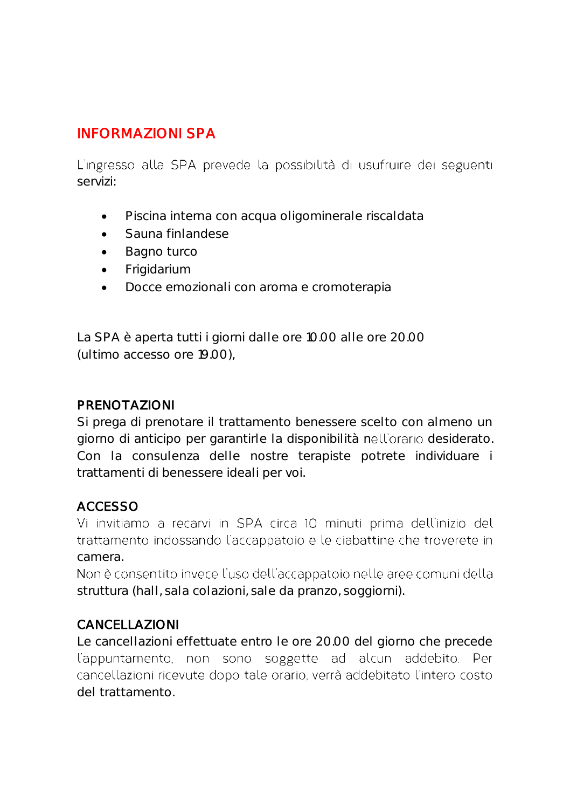# INFORMAZIONI SPA

L'ingresso alla SPA prevede la possibilità di usufruire dei seguenti servizi:

- Piscina interna con acqua oligominerale riscaldata
- Sauna finlandese
- Bagno turco
- Frigidarium
- Docce emozionali con aroma e cromoterapia

La SPA è aperta tutti i giorni dalle ore 10.00 alle ore 20.00 (ultimo accesso ore 19.00),

### PRENOTAZIONI

Si prega di prenotare il trattamento benessere scelto con almeno un giorno di anticipo per garantirle la disponibilità nell'orario desiderato. Con la consulenza delle nostre terapiste potrete individuare i trattamenti di benessere ideali per voi.

### ACCESSO

Vi invitiamo a recarvi in SPA circa 10 minuti prima dell'inizio del trattamento indossando l'accappatoio e le ciabattine che troverete in camera.

Non è consentito invece l'uso dell'accappatoio nelle aree comuni della struttura (hall, sala colazioni, sale da pranzo, soggiorni).

### CANCELLAZIONI

Le cancellazioni effettuate entro le ore 20.00 del giorno che precede l'appuntamento, non sono soggette ad alcun addebito. Per cancellazioni ricevute dopo tale orario, verrà addebitato l'intero costo del trattamento.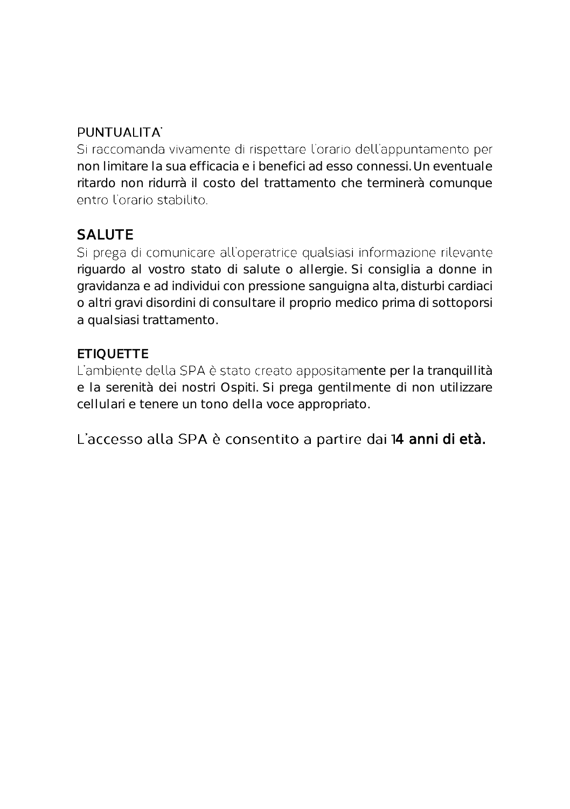## PUNTUALITA'

Si raccomanda vivamente di rispettare l'orario dell'appuntamento per non limitare la sua efficacia e i benefici ad esso connessi. Un eventuale ritardo non ridurrà il costo del trattamento che terminerà comunque entro l'orario stabilito

# SALUTE

Si prega di comunicare all'operatrice qualsiasi informazione rilevante riguardo al vostro stato di salute o allergie. Si consiglia a donne in gravidanza e ad individui con pressione sanguigna alta, disturbi cardiaci o altri gravi disordini di consultare il proprio medico prima di sottoporsi a qualsiasi trattamento.

## **ETIQUETTE**

L'ambiente della SPA è stato creato appositamente per la tranquillità e la serenità dei nostri Ospiti. Si prega gentilmente di non utilizzare cellulari e tenere un tono della voce appropriato.

L'accesso alla SPA è consentito a partire dai 14 anni di età.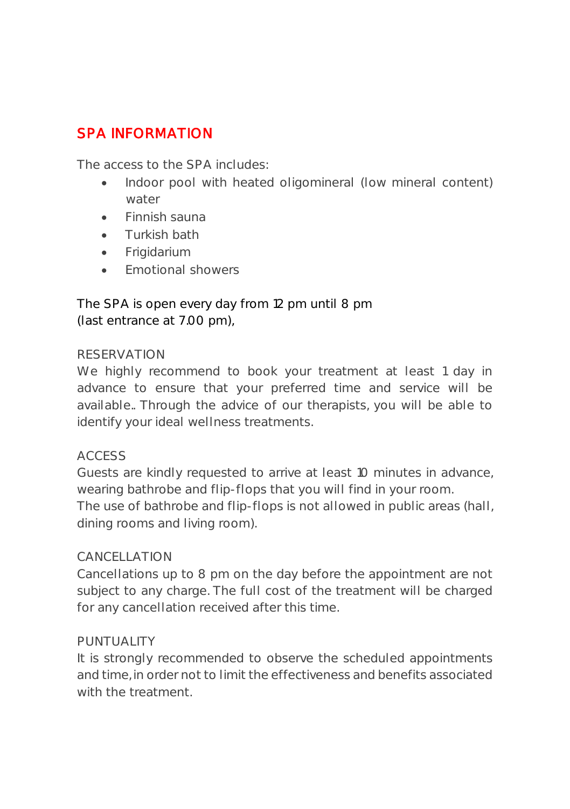# SPA INFORMATION

The access to the SPA includes:

- Indoor pool with heated oligomineral (low mineral content) water
- Finnish sauna
- Turkish bath
- Frigidarium
- **Emotional showers**

The SPA is open every day from 12 pm until 8 pm (last entrance at 7.00 pm),

### RESERVATION

We highly recommend to book your treatment at least 1 day in advance to ensure that your preferred time and service will be available.. Through the advice of our therapists, you will be able to identify your ideal wellness treatments.

### ACCESS

Guests are kindly requested to arrive at least 10 minutes in advance, wearing bathrobe and flip-flops that you will find in your room. The use of bathrobe and flip-flops is not allowed in public areas (hall, dining rooms and living room).

### CANCELLATION

Cancellations up to 8 pm on the day before the appointment are not subject to any charge. The full cost of the treatment will be charged for any cancellation received after this time.

### PUNTUALITY

It is strongly recommended to observe the scheduled appointments and time, in order not to limit the effectiveness and benefits associated with the treatment.